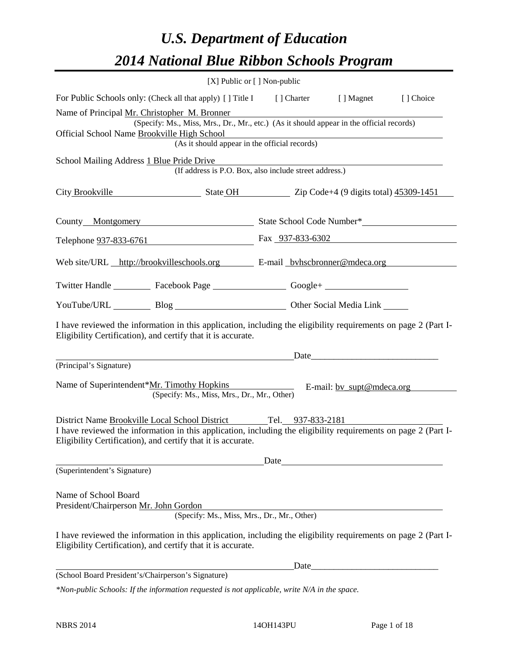# *U.S. Department of Education 2014 National Blue Ribbon Schools Program*

| For Public Schools only: (Check all that apply) [] Title I [] Charter [] Magnet<br>[] Choice<br>Name of Principal Mr. Christopher M. Bronner<br>(Specify: Ms., Miss, Mrs., Dr., Mr., etc.) (As it should appear in the official records)<br>(As it should appear in the official records)<br>(If address is P.O. Box, also include street address.)<br>City Brookville State OH State OH Zip Code+4 (9 digits total) 45309-1451<br>Telephone <u>937-833-6761</u> Fax 937-833-6302<br>Web site/URL http://brookvilleschools.org E-mail byhscbronner@mdeca.org<br>Twitter Handle ___________ Facebook Page ____________________ Google+ ___________<br>YouTube/URL Blog Blog Cher Social Media Link<br>I have reviewed the information in this application, including the eligibility requirements on page 2 (Part I-<br>Eligibility Certification), and certify that it is accurate.<br>(Principal's Signature)<br>E-mail: <u>by supt@mdeca.org</u><br>(Specify: Ms., Miss, Mrs., Dr., Mr., Other)<br>District Name Brookville Local School District Tel. 937-833-2181<br>I have reviewed the information in this application, including the eligibility requirements on page 2 (Part I-<br>Eligibility Certification), and certify that it is accurate.<br>Date<br>(Superintendent's Signature)<br>(Specify: Ms., Miss, Mrs., Dr., Mr., Other)<br>I have reviewed the information in this application, including the eligibility requirements on page 2 (Part I-<br>Eligibility Certification), and certify that it is accurate.<br>Date |                                                               | [X] Public or [] Non-public |  |  |
|------------------------------------------------------------------------------------------------------------------------------------------------------------------------------------------------------------------------------------------------------------------------------------------------------------------------------------------------------------------------------------------------------------------------------------------------------------------------------------------------------------------------------------------------------------------------------------------------------------------------------------------------------------------------------------------------------------------------------------------------------------------------------------------------------------------------------------------------------------------------------------------------------------------------------------------------------------------------------------------------------------------------------------------------------------------------------------------------------------------------------------------------------------------------------------------------------------------------------------------------------------------------------------------------------------------------------------------------------------------------------------------------------------------------------------------------------------------------------------------------------------------------------------------|---------------------------------------------------------------|-----------------------------|--|--|
|                                                                                                                                                                                                                                                                                                                                                                                                                                                                                                                                                                                                                                                                                                                                                                                                                                                                                                                                                                                                                                                                                                                                                                                                                                                                                                                                                                                                                                                                                                                                          |                                                               |                             |  |  |
|                                                                                                                                                                                                                                                                                                                                                                                                                                                                                                                                                                                                                                                                                                                                                                                                                                                                                                                                                                                                                                                                                                                                                                                                                                                                                                                                                                                                                                                                                                                                          | Official School Name Brookville High School                   |                             |  |  |
|                                                                                                                                                                                                                                                                                                                                                                                                                                                                                                                                                                                                                                                                                                                                                                                                                                                                                                                                                                                                                                                                                                                                                                                                                                                                                                                                                                                                                                                                                                                                          | School Mailing Address 1 Blue Pride Drive                     |                             |  |  |
|                                                                                                                                                                                                                                                                                                                                                                                                                                                                                                                                                                                                                                                                                                                                                                                                                                                                                                                                                                                                                                                                                                                                                                                                                                                                                                                                                                                                                                                                                                                                          |                                                               |                             |  |  |
|                                                                                                                                                                                                                                                                                                                                                                                                                                                                                                                                                                                                                                                                                                                                                                                                                                                                                                                                                                                                                                                                                                                                                                                                                                                                                                                                                                                                                                                                                                                                          |                                                               |                             |  |  |
|                                                                                                                                                                                                                                                                                                                                                                                                                                                                                                                                                                                                                                                                                                                                                                                                                                                                                                                                                                                                                                                                                                                                                                                                                                                                                                                                                                                                                                                                                                                                          |                                                               |                             |  |  |
|                                                                                                                                                                                                                                                                                                                                                                                                                                                                                                                                                                                                                                                                                                                                                                                                                                                                                                                                                                                                                                                                                                                                                                                                                                                                                                                                                                                                                                                                                                                                          |                                                               |                             |  |  |
|                                                                                                                                                                                                                                                                                                                                                                                                                                                                                                                                                                                                                                                                                                                                                                                                                                                                                                                                                                                                                                                                                                                                                                                                                                                                                                                                                                                                                                                                                                                                          |                                                               |                             |  |  |
|                                                                                                                                                                                                                                                                                                                                                                                                                                                                                                                                                                                                                                                                                                                                                                                                                                                                                                                                                                                                                                                                                                                                                                                                                                                                                                                                                                                                                                                                                                                                          |                                                               |                             |  |  |
|                                                                                                                                                                                                                                                                                                                                                                                                                                                                                                                                                                                                                                                                                                                                                                                                                                                                                                                                                                                                                                                                                                                                                                                                                                                                                                                                                                                                                                                                                                                                          |                                                               |                             |  |  |
|                                                                                                                                                                                                                                                                                                                                                                                                                                                                                                                                                                                                                                                                                                                                                                                                                                                                                                                                                                                                                                                                                                                                                                                                                                                                                                                                                                                                                                                                                                                                          |                                                               |                             |  |  |
|                                                                                                                                                                                                                                                                                                                                                                                                                                                                                                                                                                                                                                                                                                                                                                                                                                                                                                                                                                                                                                                                                                                                                                                                                                                                                                                                                                                                                                                                                                                                          | Name of Superintendent*Mr. Timothy Hopkins                    |                             |  |  |
|                                                                                                                                                                                                                                                                                                                                                                                                                                                                                                                                                                                                                                                                                                                                                                                                                                                                                                                                                                                                                                                                                                                                                                                                                                                                                                                                                                                                                                                                                                                                          |                                                               |                             |  |  |
|                                                                                                                                                                                                                                                                                                                                                                                                                                                                                                                                                                                                                                                                                                                                                                                                                                                                                                                                                                                                                                                                                                                                                                                                                                                                                                                                                                                                                                                                                                                                          |                                                               |                             |  |  |
|                                                                                                                                                                                                                                                                                                                                                                                                                                                                                                                                                                                                                                                                                                                                                                                                                                                                                                                                                                                                                                                                                                                                                                                                                                                                                                                                                                                                                                                                                                                                          |                                                               |                             |  |  |
|                                                                                                                                                                                                                                                                                                                                                                                                                                                                                                                                                                                                                                                                                                                                                                                                                                                                                                                                                                                                                                                                                                                                                                                                                                                                                                                                                                                                                                                                                                                                          | Name of School Board<br>President/Chairperson Mr. John Gordon |                             |  |  |
|                                                                                                                                                                                                                                                                                                                                                                                                                                                                                                                                                                                                                                                                                                                                                                                                                                                                                                                                                                                                                                                                                                                                                                                                                                                                                                                                                                                                                                                                                                                                          |                                                               |                             |  |  |
|                                                                                                                                                                                                                                                                                                                                                                                                                                                                                                                                                                                                                                                                                                                                                                                                                                                                                                                                                                                                                                                                                                                                                                                                                                                                                                                                                                                                                                                                                                                                          |                                                               |                             |  |  |
| $*$ Non-public Schools: If the information requested is not applicable, write $N/A$ in the space.                                                                                                                                                                                                                                                                                                                                                                                                                                                                                                                                                                                                                                                                                                                                                                                                                                                                                                                                                                                                                                                                                                                                                                                                                                                                                                                                                                                                                                        | (School Board President's/Chairperson's Signature)            |                             |  |  |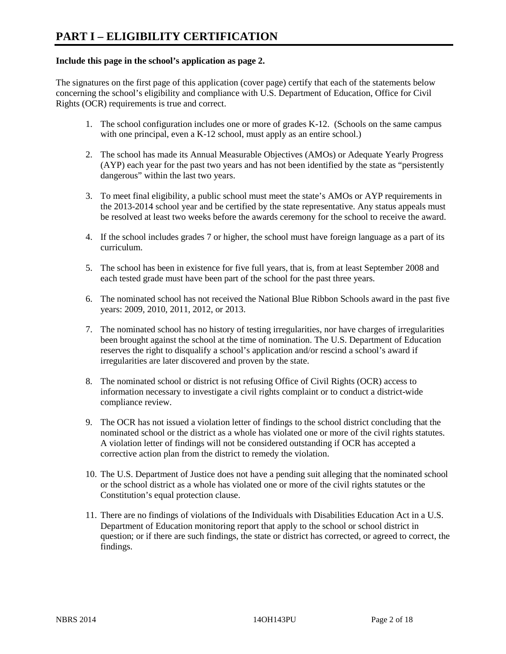# **Include this page in the school's application as page 2.**

The signatures on the first page of this application (cover page) certify that each of the statements below concerning the school's eligibility and compliance with U.S. Department of Education, Office for Civil Rights (OCR) requirements is true and correct.

- 1. The school configuration includes one or more of grades K-12. (Schools on the same campus with one principal, even a K-12 school, must apply as an entire school.)
- 2. The school has made its Annual Measurable Objectives (AMOs) or Adequate Yearly Progress (AYP) each year for the past two years and has not been identified by the state as "persistently dangerous" within the last two years.
- 3. To meet final eligibility, a public school must meet the state's AMOs or AYP requirements in the 2013-2014 school year and be certified by the state representative. Any status appeals must be resolved at least two weeks before the awards ceremony for the school to receive the award.
- 4. If the school includes grades 7 or higher, the school must have foreign language as a part of its curriculum.
- 5. The school has been in existence for five full years, that is, from at least September 2008 and each tested grade must have been part of the school for the past three years.
- 6. The nominated school has not received the National Blue Ribbon Schools award in the past five years: 2009, 2010, 2011, 2012, or 2013.
- 7. The nominated school has no history of testing irregularities, nor have charges of irregularities been brought against the school at the time of nomination. The U.S. Department of Education reserves the right to disqualify a school's application and/or rescind a school's award if irregularities are later discovered and proven by the state.
- 8. The nominated school or district is not refusing Office of Civil Rights (OCR) access to information necessary to investigate a civil rights complaint or to conduct a district-wide compliance review.
- 9. The OCR has not issued a violation letter of findings to the school district concluding that the nominated school or the district as a whole has violated one or more of the civil rights statutes. A violation letter of findings will not be considered outstanding if OCR has accepted a corrective action plan from the district to remedy the violation.
- 10. The U.S. Department of Justice does not have a pending suit alleging that the nominated school or the school district as a whole has violated one or more of the civil rights statutes or the Constitution's equal protection clause.
- 11. There are no findings of violations of the Individuals with Disabilities Education Act in a U.S. Department of Education monitoring report that apply to the school or school district in question; or if there are such findings, the state or district has corrected, or agreed to correct, the findings.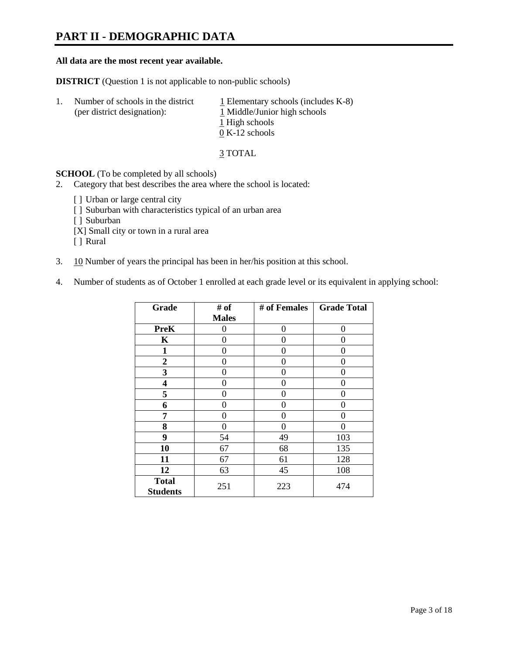# **PART II - DEMOGRAPHIC DATA**

#### **All data are the most recent year available.**

**DISTRICT** (Question 1 is not applicable to non-public schools)

| 1. | Number of schools in the district<br>(per district designation): | $\perp$ Elementary schools (includes K-8)<br>1 Middle/Junior high schools<br>1 High schools<br>$0 K-12$ schools |
|----|------------------------------------------------------------------|-----------------------------------------------------------------------------------------------------------------|
|    |                                                                  |                                                                                                                 |

3 TOTAL

**SCHOOL** (To be completed by all schools)

- 2. Category that best describes the area where the school is located:
	- [] Urban or large central city
	- [ ] Suburban with characteristics typical of an urban area
	- [ ] Suburban
	- [X] Small city or town in a rural area
	- [ ] Rural
- 3. 10 Number of years the principal has been in her/his position at this school.
- 4. Number of students as of October 1 enrolled at each grade level or its equivalent in applying school:

| Grade                           | # of         | # of Females | <b>Grade Total</b> |
|---------------------------------|--------------|--------------|--------------------|
|                                 | <b>Males</b> |              |                    |
| <b>PreK</b>                     | 0            | $\Omega$     | 0                  |
| K                               | 0            | 0            | 0                  |
| $\mathbf{1}$                    | 0            | 0            | 0                  |
| $\overline{2}$                  | 0            | 0            | 0                  |
| 3                               | 0            | 0            | 0                  |
| 4                               | 0            | 0            | 0                  |
| 5                               | 0            | 0            | 0                  |
| 6                               | 0            | 0            | 0                  |
| 7                               | 0            | 0            | 0                  |
| 8                               | 0            | 0            | 0                  |
| 9                               | 54           | 49           | 103                |
| 10                              | 67           | 68           | 135                |
| 11                              | 67           | 61           | 128                |
| 12                              | 63           | 45           | 108                |
| <b>Total</b><br><b>Students</b> | 251          | 223          | 474                |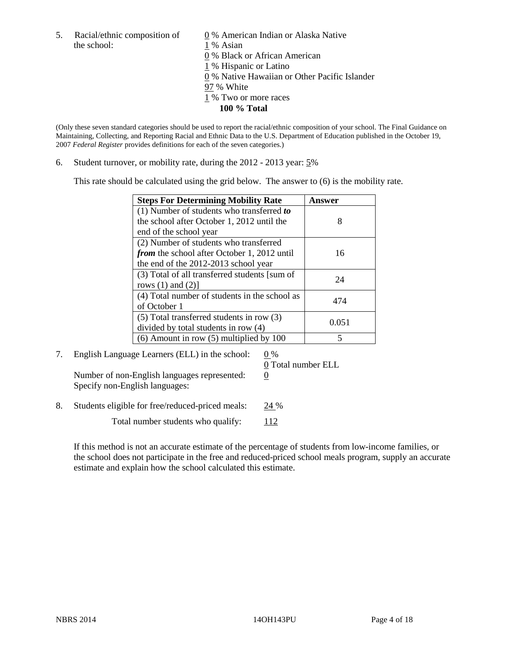5. Racial/ethnic composition of  $\qquad \qquad \underline{0}$  % American Indian or Alaska Native the school: 1 % Asian

 % Black or African American % Hispanic or Latino % Native Hawaiian or Other Pacific Islander 97 % White % Two or more races **100 % Total**

(Only these seven standard categories should be used to report the racial/ethnic composition of your school. The Final Guidance on Maintaining, Collecting, and Reporting Racial and Ethnic Data to the U.S. Department of Education published in the October 19, 2007 *Federal Register* provides definitions for each of the seven categories.)

6. Student turnover, or mobility rate, during the 2012 - 2013 year: 5%

This rate should be calculated using the grid below. The answer to (6) is the mobility rate.

| <b>Steps For Determining Mobility Rate</b>         | <b>Answer</b> |
|----------------------------------------------------|---------------|
| (1) Number of students who transferred to          |               |
| the school after October 1, 2012 until the         | 8             |
| end of the school year                             |               |
| (2) Number of students who transferred             |               |
| <i>from</i> the school after October 1, 2012 until | 16            |
| the end of the 2012-2013 school year               |               |
| (3) Total of all transferred students [sum of      | 24            |
| rows $(1)$ and $(2)$ ]                             |               |
| (4) Total number of students in the school as      | 474           |
| of October 1                                       |               |
| (5) Total transferred students in row (3)          | 0.051         |
| divided by total students in row (4)               |               |
| $(6)$ Amount in row $(5)$ multiplied by 100        |               |

7. English Language Learners (ELL) in the school:  $0\%$ Number of non-English languages represented:  $0$ Specify non-English languages:

0 Total number ELL

8. Students eligible for free/reduced-priced meals: 24 %

Total number students who qualify:  $112$ 

If this method is not an accurate estimate of the percentage of students from low-income families, or the school does not participate in the free and reduced-priced school meals program, supply an accurate estimate and explain how the school calculated this estimate.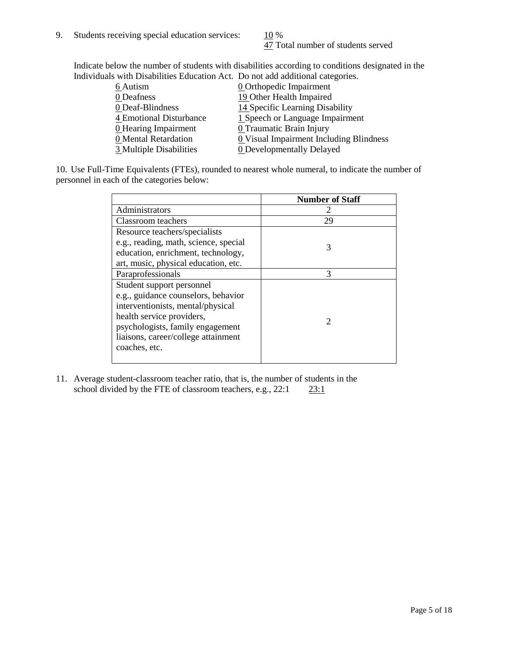47 Total number of students served

Indicate below the number of students with disabilities according to conditions designated in the Individuals with Disabilities Education Act. Do not add additional categories.

|                         | "The Drowomnos Budgetton I fee. Do not due authorite categories" |
|-------------------------|------------------------------------------------------------------|
| 6 Autism                | <b>0</b> Orthopedic Impairment                                   |
| 0 Deafness              | 19 Other Health Impaired                                         |
| 0 Deaf-Blindness        | 14 Specific Learning Disability                                  |
| 4 Emotional Disturbance | 1 Speech or Language Impairment                                  |
| 0 Hearing Impairment    | 0 Traumatic Brain Injury                                         |
| 0 Mental Retardation    | <b>0</b> Visual Impairment Including Blindness                   |
| 3 Multiple Disabilities | <b>0</b> Developmentally Delayed                                 |
|                         |                                                                  |

10. Use Full-Time Equivalents (FTEs), rounded to nearest whole numeral, to indicate the number of personnel in each of the categories below:

|                                       | <b>Number of Staff</b>      |
|---------------------------------------|-----------------------------|
| Administrators                        |                             |
| Classroom teachers                    | 29                          |
| Resource teachers/specialists         |                             |
| e.g., reading, math, science, special | 3                           |
| education, enrichment, technology,    |                             |
| art, music, physical education, etc.  |                             |
| Paraprofessionals                     | 3                           |
| Student support personnel             |                             |
| e.g., guidance counselors, behavior   |                             |
| interventionists, mental/physical     |                             |
| health service providers,             | $\mathcal{D}_{\mathcal{L}}$ |
| psychologists, family engagement      |                             |
| liaisons, career/college attainment   |                             |
| coaches, etc.                         |                             |
|                                       |                             |

11. Average student-classroom teacher ratio, that is, the number of students in the school divided by the FTE of classroom teachers, e.g.,  $22:1$   $23:1$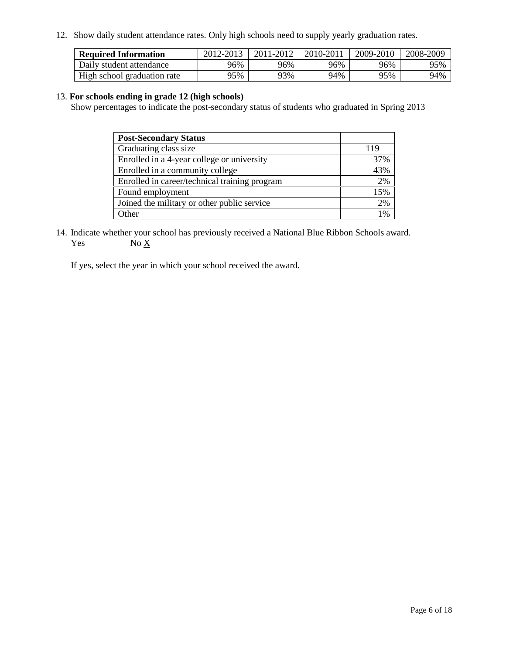12. Show daily student attendance rates. Only high schools need to supply yearly graduation rates.

| <b>Required Information</b> | 2012-2013 | 2011-2012 | 2010-2011 | 2009-2010 | 2008-2009 |
|-----------------------------|-----------|-----------|-----------|-----------|-----------|
|                             |           |           |           |           |           |
| Daily student attendance    | 96%       | 96%       | 96%       | 96%       | 95%       |
| High school graduation rate | 75%       | 93%       | 94%       | 95%       | 94%       |

# 13. **For schools ending in grade 12 (high schools)**

Show percentages to indicate the post-secondary status of students who graduated in Spring 2013

| <b>Post-Secondary Status</b>                  |     |
|-----------------------------------------------|-----|
| Graduating class size                         | 119 |
| Enrolled in a 4-year college or university    | 37% |
| Enrolled in a community college               | 43% |
| Enrolled in career/technical training program | 2%  |
| Found employment                              | 15% |
| Joined the military or other public service   | 2%  |
| <b>Other</b>                                  | 1%  |

14. Indicate whether your school has previously received a National Blue Ribbon Schools award. Yes  $No X$ 

If yes, select the year in which your school received the award.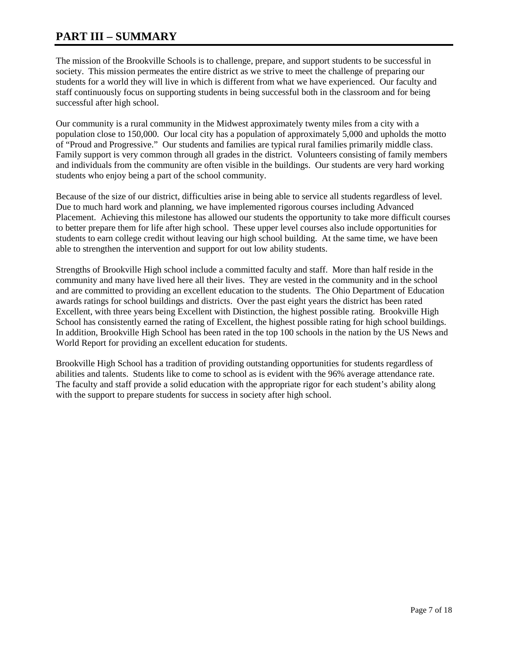# **PART III – SUMMARY**

The mission of the Brookville Schools is to challenge, prepare, and support students to be successful in society. This mission permeates the entire district as we strive to meet the challenge of preparing our students for a world they will live in which is different from what we have experienced. Our faculty and staff continuously focus on supporting students in being successful both in the classroom and for being successful after high school.

Our community is a rural community in the Midwest approximately twenty miles from a city with a population close to 150,000. Our local city has a population of approximately 5,000 and upholds the motto of "Proud and Progressive." Our students and families are typical rural families primarily middle class. Family support is very common through all grades in the district. Volunteers consisting of family members and individuals from the community are often visible in the buildings. Our students are very hard working students who enjoy being a part of the school community.

Because of the size of our district, difficulties arise in being able to service all students regardless of level. Due to much hard work and planning, we have implemented rigorous courses including Advanced Placement. Achieving this milestone has allowed our students the opportunity to take more difficult courses to better prepare them for life after high school. These upper level courses also include opportunities for students to earn college credit without leaving our high school building. At the same time, we have been able to strengthen the intervention and support for out low ability students.

Strengths of Brookville High school include a committed faculty and staff. More than half reside in the community and many have lived here all their lives. They are vested in the community and in the school and are committed to providing an excellent education to the students. The Ohio Department of Education awards ratings for school buildings and districts. Over the past eight years the district has been rated Excellent, with three years being Excellent with Distinction, the highest possible rating. Brookville High School has consistently earned the rating of Excellent, the highest possible rating for high school buildings. In addition, Brookville High School has been rated in the top 100 schools in the nation by the US News and World Report for providing an excellent education for students.

Brookville High School has a tradition of providing outstanding opportunities for students regardless of abilities and talents. Students like to come to school as is evident with the 96% average attendance rate. The faculty and staff provide a solid education with the appropriate rigor for each student's ability along with the support to prepare students for success in society after high school.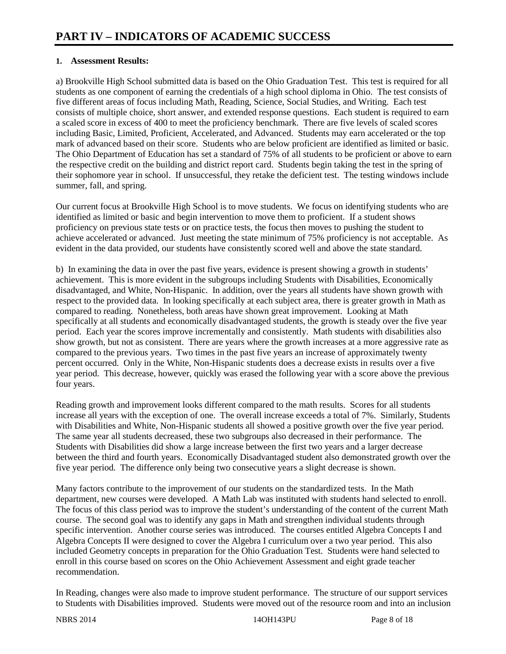# **1. Assessment Results:**

a) Brookville High School submitted data is based on the Ohio Graduation Test. This test is required for all students as one component of earning the credentials of a high school diploma in Ohio. The test consists of five different areas of focus including Math, Reading, Science, Social Studies, and Writing. Each test consists of multiple choice, short answer, and extended response questions. Each student is required to earn a scaled score in excess of 400 to meet the proficiency benchmark. There are five levels of scaled scores including Basic, Limited, Proficient, Accelerated, and Advanced. Students may earn accelerated or the top mark of advanced based on their score. Students who are below proficient are identified as limited or basic. The Ohio Department of Education has set a standard of 75% of all students to be proficient or above to earn the respective credit on the building and district report card. Students begin taking the test in the spring of their sophomore year in school. If unsuccessful, they retake the deficient test. The testing windows include summer, fall, and spring.

Our current focus at Brookville High School is to move students. We focus on identifying students who are identified as limited or basic and begin intervention to move them to proficient. If a student shows proficiency on previous state tests or on practice tests, the focus then moves to pushing the student to achieve accelerated or advanced. Just meeting the state minimum of 75% proficiency is not acceptable. As evident in the data provided, our students have consistently scored well and above the state standard.

b) In examining the data in over the past five years, evidence is present showing a growth in students' achievement. This is more evident in the subgroups including Students with Disabilities, Economically disadvantaged, and White, Non-Hispanic. In addition, over the years all students have shown growth with respect to the provided data. In looking specifically at each subject area, there is greater growth in Math as compared to reading. Nonetheless, both areas have shown great improvement. Looking at Math specifically at all students and economically disadvantaged students, the growth is steady over the five year period. Each year the scores improve incrementally and consistently. Math students with disabilities also show growth, but not as consistent. There are years where the growth increases at a more aggressive rate as compared to the previous years. Two times in the past five years an increase of approximately twenty percent occurred. Only in the White, Non-Hispanic students does a decrease exists in results over a five year period. This decrease, however, quickly was erased the following year with a score above the previous four years.

Reading growth and improvement looks different compared to the math results. Scores for all students increase all years with the exception of one. The overall increase exceeds a total of 7%. Similarly, Students with Disabilities and White, Non-Hispanic students all showed a positive growth over the five year period. The same year all students decreased, these two subgroups also decreased in their performance. The Students with Disabilities did show a large increase between the first two years and a larger decrease between the third and fourth years. Economically Disadvantaged student also demonstrated growth over the five year period. The difference only being two consecutive years a slight decrease is shown.

Many factors contribute to the improvement of our students on the standardized tests. In the Math department, new courses were developed. A Math Lab was instituted with students hand selected to enroll. The focus of this class period was to improve the student's understanding of the content of the current Math course. The second goal was to identify any gaps in Math and strengthen individual students through specific intervention. Another course series was introduced. The courses entitled Algebra Concepts I and Algebra Concepts II were designed to cover the Algebra I curriculum over a two year period. This also included Geometry concepts in preparation for the Ohio Graduation Test. Students were hand selected to enroll in this course based on scores on the Ohio Achievement Assessment and eight grade teacher recommendation.

In Reading, changes were also made to improve student performance. The structure of our support services to Students with Disabilities improved. Students were moved out of the resource room and into an inclusion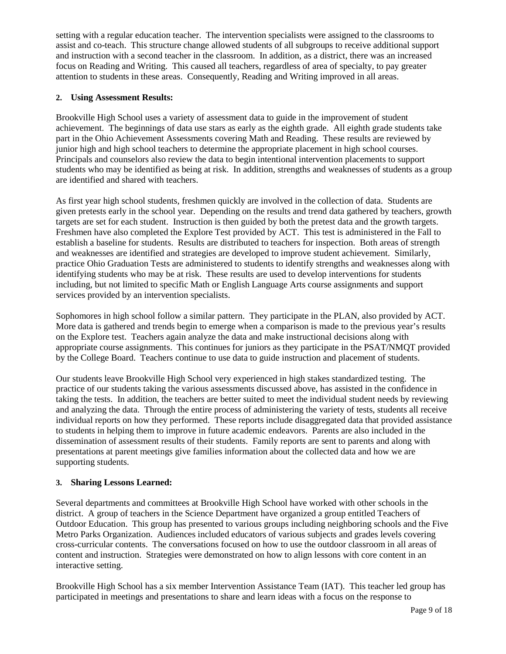setting with a regular education teacher. The intervention specialists were assigned to the classrooms to assist and co-teach. This structure change allowed students of all subgroups to receive additional support and instruction with a second teacher in the classroom. In addition, as a district, there was an increased focus on Reading and Writing. This caused all teachers, regardless of area of specialty, to pay greater attention to students in these areas. Consequently, Reading and Writing improved in all areas.

# **2. Using Assessment Results:**

Brookville High School uses a variety of assessment data to guide in the improvement of student achievement. The beginnings of data use stars as early as the eighth grade. All eighth grade students take part in the Ohio Achievement Assessments covering Math and Reading. These results are reviewed by junior high and high school teachers to determine the appropriate placement in high school courses. Principals and counselors also review the data to begin intentional intervention placements to support students who may be identified as being at risk. In addition, strengths and weaknesses of students as a group are identified and shared with teachers.

As first year high school students, freshmen quickly are involved in the collection of data. Students are given pretests early in the school year. Depending on the results and trend data gathered by teachers, growth targets are set for each student. Instruction is then guided by both the pretest data and the growth targets. Freshmen have also completed the Explore Test provided by ACT. This test is administered in the Fall to establish a baseline for students. Results are distributed to teachers for inspection. Both areas of strength and weaknesses are identified and strategies are developed to improve student achievement. Similarly, practice Ohio Graduation Tests are administered to students to identify strengths and weaknesses along with identifying students who may be at risk. These results are used to develop interventions for students including, but not limited to specific Math or English Language Arts course assignments and support services provided by an intervention specialists.

Sophomores in high school follow a similar pattern. They participate in the PLAN, also provided by ACT. More data is gathered and trends begin to emerge when a comparison is made to the previous year's results on the Explore test. Teachers again analyze the data and make instructional decisions along with appropriate course assignments. This continues for juniors as they participate in the PSAT/NMQT provided by the College Board. Teachers continue to use data to guide instruction and placement of students.

Our students leave Brookville High School very experienced in high stakes standardized testing. The practice of our students taking the various assessments discussed above, has assisted in the confidence in taking the tests. In addition, the teachers are better suited to meet the individual student needs by reviewing and analyzing the data. Through the entire process of administering the variety of tests, students all receive individual reports on how they performed. These reports include disaggregated data that provided assistance to students in helping them to improve in future academic endeavors. Parents are also included in the dissemination of assessment results of their students. Family reports are sent to parents and along with presentations at parent meetings give families information about the collected data and how we are supporting students.

# **3. Sharing Lessons Learned:**

Several departments and committees at Brookville High School have worked with other schools in the district. A group of teachers in the Science Department have organized a group entitled Teachers of Outdoor Education. This group has presented to various groups including neighboring schools and the Five Metro Parks Organization. Audiences included educators of various subjects and grades levels covering cross-curricular contents. The conversations focused on how to use the outdoor classroom in all areas of content and instruction. Strategies were demonstrated on how to align lessons with core content in an interactive setting.

Brookville High School has a six member Intervention Assistance Team (IAT). This teacher led group has participated in meetings and presentations to share and learn ideas with a focus on the response to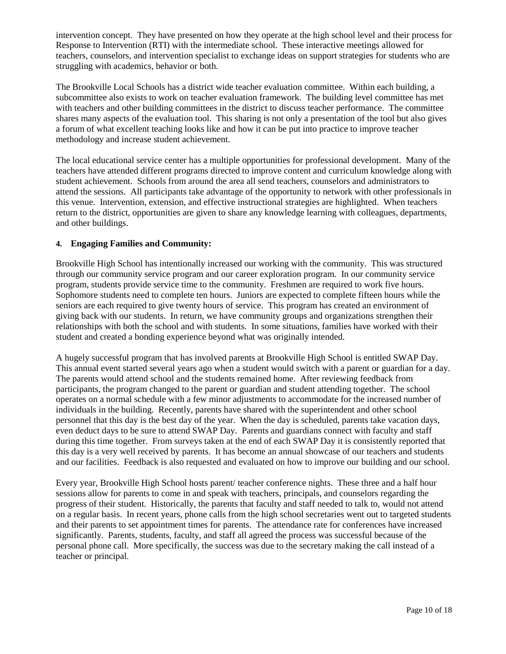intervention concept. They have presented on how they operate at the high school level and their process for Response to Intervention (RTI) with the intermediate school. These interactive meetings allowed for teachers, counselors, and intervention specialist to exchange ideas on support strategies for students who are struggling with academics, behavior or both.

The Brookville Local Schools has a district wide teacher evaluation committee. Within each building, a subcommittee also exists to work on teacher evaluation framework. The building level committee has met with teachers and other building committees in the district to discuss teacher performance. The committee shares many aspects of the evaluation tool. This sharing is not only a presentation of the tool but also gives a forum of what excellent teaching looks like and how it can be put into practice to improve teacher methodology and increase student achievement.

The local educational service center has a multiple opportunities for professional development. Many of the teachers have attended different programs directed to improve content and curriculum knowledge along with student achievement. Schools from around the area all send teachers, counselors and administrators to attend the sessions. All participants take advantage of the opportunity to network with other professionals in this venue. Intervention, extension, and effective instructional strategies are highlighted. When teachers return to the district, opportunities are given to share any knowledge learning with colleagues, departments, and other buildings.

# **4. Engaging Families and Community:**

Brookville High School has intentionally increased our working with the community. This was structured through our community service program and our career exploration program. In our community service program, students provide service time to the community. Freshmen are required to work five hours. Sophomore students need to complete ten hours. Juniors are expected to complete fifteen hours while the seniors are each required to give twenty hours of service. This program has created an environment of giving back with our students. In return, we have community groups and organizations strengthen their relationships with both the school and with students. In some situations, families have worked with their student and created a bonding experience beyond what was originally intended.

A hugely successful program that has involved parents at Brookville High School is entitled SWAP Day. This annual event started several years ago when a student would switch with a parent or guardian for a day. The parents would attend school and the students remained home. After reviewing feedback from participants, the program changed to the parent or guardian and student attending together. The school operates on a normal schedule with a few minor adjustments to accommodate for the increased number of individuals in the building. Recently, parents have shared with the superintendent and other school personnel that this day is the best day of the year. When the day is scheduled, parents take vacation days, even deduct days to be sure to attend SWAP Day. Parents and guardians connect with faculty and staff during this time together. From surveys taken at the end of each SWAP Day it is consistently reported that this day is a very well received by parents. It has become an annual showcase of our teachers and students and our facilities. Feedback is also requested and evaluated on how to improve our building and our school.

Every year, Brookville High School hosts parent/ teacher conference nights. These three and a half hour sessions allow for parents to come in and speak with teachers, principals, and counselors regarding the progress of their student. Historically, the parents that faculty and staff needed to talk to, would not attend on a regular basis. In recent years, phone calls from the high school secretaries went out to targeted students and their parents to set appointment times for parents. The attendance rate for conferences have increased significantly. Parents, students, faculty, and staff all agreed the process was successful because of the personal phone call. More specifically, the success was due to the secretary making the call instead of a teacher or principal.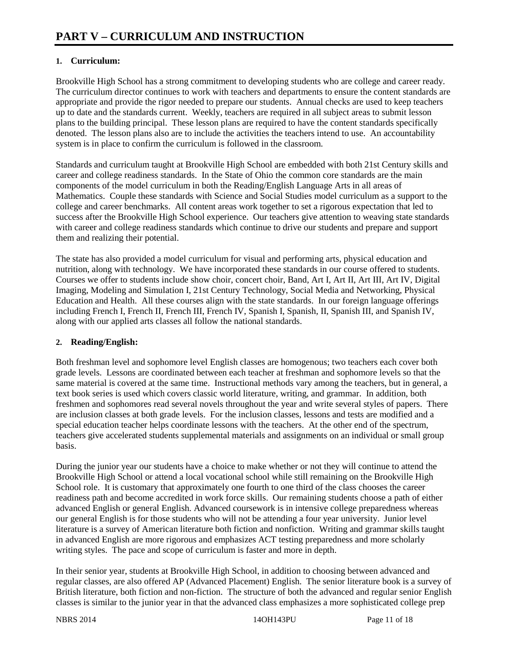# **1. Curriculum:**

Brookville High School has a strong commitment to developing students who are college and career ready. The curriculum director continues to work with teachers and departments to ensure the content standards are appropriate and provide the rigor needed to prepare our students. Annual checks are used to keep teachers up to date and the standards current. Weekly, teachers are required in all subject areas to submit lesson plans to the building principal. These lesson plans are required to have the content standards specifically denoted. The lesson plans also are to include the activities the teachers intend to use. An accountability system is in place to confirm the curriculum is followed in the classroom.

Standards and curriculum taught at Brookville High School are embedded with both 21st Century skills and career and college readiness standards. In the State of Ohio the common core standards are the main components of the model curriculum in both the Reading/English Language Arts in all areas of Mathematics. Couple these standards with Science and Social Studies model curriculum as a support to the college and career benchmarks. All content areas work together to set a rigorous expectation that led to success after the Brookville High School experience. Our teachers give attention to weaving state standards with career and college readiness standards which continue to drive our students and prepare and support them and realizing their potential.

The state has also provided a model curriculum for visual and performing arts, physical education and nutrition, along with technology. We have incorporated these standards in our course offered to students. Courses we offer to students include show choir, concert choir, Band, Art I, Art II, Art III, Art IV, Digital Imaging, Modeling and Simulation I, 21st Century Technology, Social Media and Networking, Physical Education and Health. All these courses align with the state standards. In our foreign language offerings including French I, French II, French III, French IV, Spanish I, Spanish, II, Spanish III, and Spanish IV, along with our applied arts classes all follow the national standards.

# **2. Reading/English:**

Both freshman level and sophomore level English classes are homogenous; two teachers each cover both grade levels. Lessons are coordinated between each teacher at freshman and sophomore levels so that the same material is covered at the same time. Instructional methods vary among the teachers, but in general, a text book series is used which covers classic world literature, writing, and grammar. In addition, both freshmen and sophomores read several novels throughout the year and write several styles of papers. There are inclusion classes at both grade levels. For the inclusion classes, lessons and tests are modified and a special education teacher helps coordinate lessons with the teachers. At the other end of the spectrum, teachers give accelerated students supplemental materials and assignments on an individual or small group basis.

During the junior year our students have a choice to make whether or not they will continue to attend the Brookville High School or attend a local vocational school while still remaining on the Brookville High School role. It is customary that approximately one fourth to one third of the class chooses the career readiness path and become accredited in work force skills. Our remaining students choose a path of either advanced English or general English. Advanced coursework is in intensive college preparedness whereas our general English is for those students who will not be attending a four year university. Junior level literature is a survey of American literature both fiction and nonfiction. Writing and grammar skills taught in advanced English are more rigorous and emphasizes ACT testing preparedness and more scholarly writing styles. The pace and scope of curriculum is faster and more in depth.

In their senior year, students at Brookville High School, in addition to choosing between advanced and regular classes, are also offered AP (Advanced Placement) English. The senior literature book is a survey of British literature, both fiction and non-fiction. The structure of both the advanced and regular senior English classes is similar to the junior year in that the advanced class emphasizes a more sophisticated college prep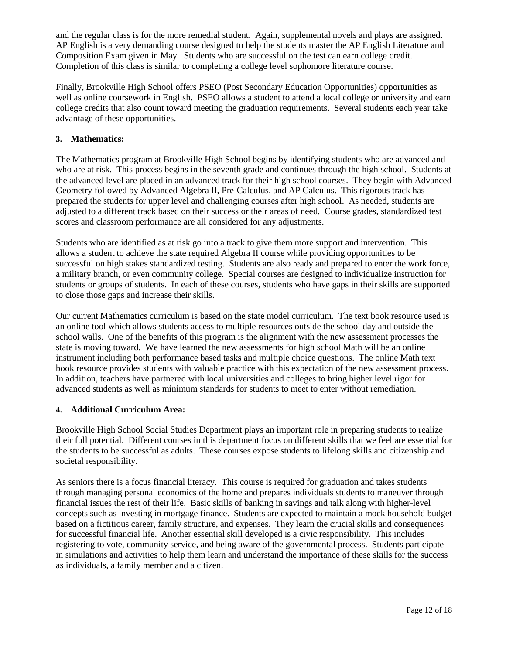and the regular class is for the more remedial student. Again, supplemental novels and plays are assigned. AP English is a very demanding course designed to help the students master the AP English Literature and Composition Exam given in May. Students who are successful on the test can earn college credit. Completion of this class is similar to completing a college level sophomore literature course.

Finally, Brookville High School offers PSEO (Post Secondary Education Opportunities) opportunities as well as online coursework in English. PSEO allows a student to attend a local college or university and earn college credits that also count toward meeting the graduation requirements. Several students each year take advantage of these opportunities.

# **3. Mathematics:**

The Mathematics program at Brookville High School begins by identifying students who are advanced and who are at risk. This process begins in the seventh grade and continues through the high school. Students at the advanced level are placed in an advanced track for their high school courses. They begin with Advanced Geometry followed by Advanced Algebra II, Pre-Calculus, and AP Calculus. This rigorous track has prepared the students for upper level and challenging courses after high school. As needed, students are adjusted to a different track based on their success or their areas of need. Course grades, standardized test scores and classroom performance are all considered for any adjustments.

Students who are identified as at risk go into a track to give them more support and intervention. This allows a student to achieve the state required Algebra II course while providing opportunities to be successful on high stakes standardized testing. Students are also ready and prepared to enter the work force, a military branch, or even community college. Special courses are designed to individualize instruction for students or groups of students. In each of these courses, students who have gaps in their skills are supported to close those gaps and increase their skills.

Our current Mathematics curriculum is based on the state model curriculum. The text book resource used is an online tool which allows students access to multiple resources outside the school day and outside the school walls. One of the benefits of this program is the alignment with the new assessment processes the state is moving toward. We have learned the new assessments for high school Math will be an online instrument including both performance based tasks and multiple choice questions. The online Math text book resource provides students with valuable practice with this expectation of the new assessment process. In addition, teachers have partnered with local universities and colleges to bring higher level rigor for advanced students as well as minimum standards for students to meet to enter without remediation.

# **4. Additional Curriculum Area:**

Brookville High School Social Studies Department plays an important role in preparing students to realize their full potential. Different courses in this department focus on different skills that we feel are essential for the students to be successful as adults. These courses expose students to lifelong skills and citizenship and societal responsibility.

As seniors there is a focus financial literacy. This course is required for graduation and takes students through managing personal economics of the home and prepares individuals students to maneuver through financial issues the rest of their life. Basic skills of banking in savings and talk along with higher-level concepts such as investing in mortgage finance. Students are expected to maintain a mock household budget based on a fictitious career, family structure, and expenses. They learn the crucial skills and consequences for successful financial life. Another essential skill developed is a civic responsibility. This includes registering to vote, community service, and being aware of the governmental process. Students participate in simulations and activities to help them learn and understand the importance of these skills for the success as individuals, a family member and a citizen.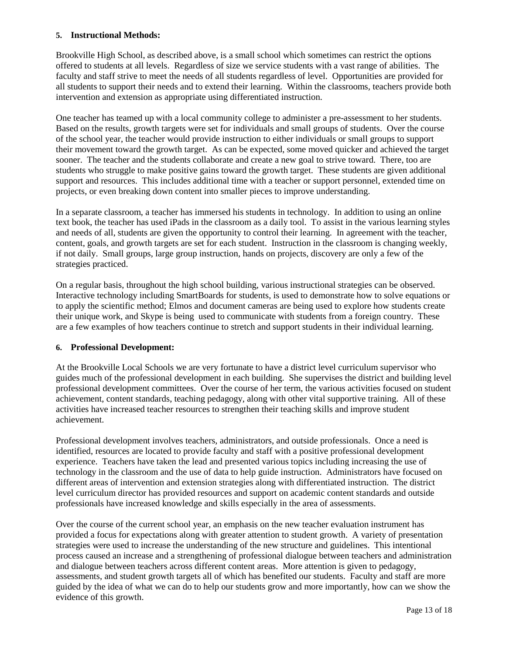## **5. Instructional Methods:**

Brookville High School, as described above, is a small school which sometimes can restrict the options offered to students at all levels. Regardless of size we service students with a vast range of abilities. The faculty and staff strive to meet the needs of all students regardless of level. Opportunities are provided for all students to support their needs and to extend their learning. Within the classrooms, teachers provide both intervention and extension as appropriate using differentiated instruction.

One teacher has teamed up with a local community college to administer a pre-assessment to her students. Based on the results, growth targets were set for individuals and small groups of students. Over the course of the school year, the teacher would provide instruction to either individuals or small groups to support their movement toward the growth target. As can be expected, some moved quicker and achieved the target sooner. The teacher and the students collaborate and create a new goal to strive toward. There, too are students who struggle to make positive gains toward the growth target. These students are given additional support and resources. This includes additional time with a teacher or support personnel, extended time on projects, or even breaking down content into smaller pieces to improve understanding.

In a separate classroom, a teacher has immersed his students in technology. In addition to using an online text book, the teacher has used iPads in the classroom as a daily tool. To assist in the various learning styles and needs of all, students are given the opportunity to control their learning. In agreement with the teacher, content, goals, and growth targets are set for each student. Instruction in the classroom is changing weekly, if not daily. Small groups, large group instruction, hands on projects, discovery are only a few of the strategies practiced.

On a regular basis, throughout the high school building, various instructional strategies can be observed. Interactive technology including SmartBoards for students, is used to demonstrate how to solve equations or to apply the scientific method; Elmos and document cameras are being used to explore how students create their unique work, and Skype is being used to communicate with students from a foreign country. These are a few examples of how teachers continue to stretch and support students in their individual learning.

# **6. Professional Development:**

At the Brookville Local Schools we are very fortunate to have a district level curriculum supervisor who guides much of the professional development in each building. She supervises the district and building level professional development committees. Over the course of her term, the various activities focused on student achievement, content standards, teaching pedagogy, along with other vital supportive training. All of these activities have increased teacher resources to strengthen their teaching skills and improve student achievement.

Professional development involves teachers, administrators, and outside professionals. Once a need is identified, resources are located to provide faculty and staff with a positive professional development experience. Teachers have taken the lead and presented various topics including increasing the use of technology in the classroom and the use of data to help guide instruction. Administrators have focused on different areas of intervention and extension strategies along with differentiated instruction. The district level curriculum director has provided resources and support on academic content standards and outside professionals have increased knowledge and skills especially in the area of assessments.

Over the course of the current school year, an emphasis on the new teacher evaluation instrument has provided a focus for expectations along with greater attention to student growth. A variety of presentation strategies were used to increase the understanding of the new structure and guidelines. This intentional process caused an increase and a strengthening of professional dialogue between teachers and administration and dialogue between teachers across different content areas. More attention is given to pedagogy, assessments, and student growth targets all of which has benefited our students. Faculty and staff are more guided by the idea of what we can do to help our students grow and more importantly, how can we show the evidence of this growth.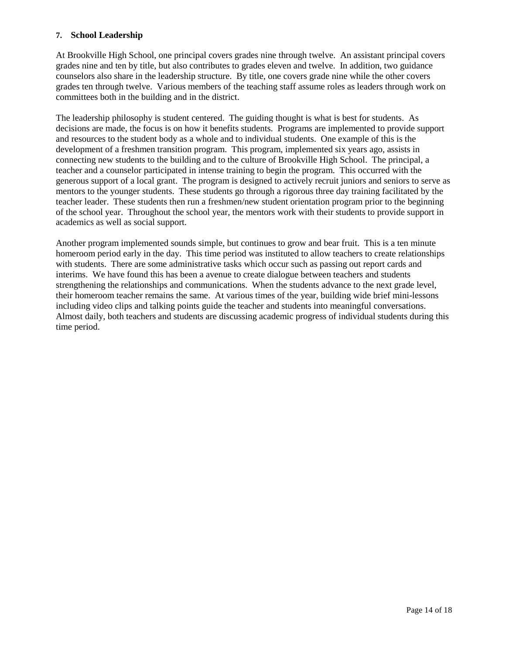## **7. School Leadership**

At Brookville High School, one principal covers grades nine through twelve. An assistant principal covers grades nine and ten by title, but also contributes to grades eleven and twelve. In addition, two guidance counselors also share in the leadership structure. By title, one covers grade nine while the other covers grades ten through twelve. Various members of the teaching staff assume roles as leaders through work on committees both in the building and in the district.

The leadership philosophy is student centered. The guiding thought is what is best for students. As decisions are made, the focus is on how it benefits students. Programs are implemented to provide support and resources to the student body as a whole and to individual students. One example of this is the development of a freshmen transition program. This program, implemented six years ago, assists in connecting new students to the building and to the culture of Brookville High School. The principal, a teacher and a counselor participated in intense training to begin the program. This occurred with the generous support of a local grant. The program is designed to actively recruit juniors and seniors to serve as mentors to the younger students. These students go through a rigorous three day training facilitated by the teacher leader. These students then run a freshmen/new student orientation program prior to the beginning of the school year. Throughout the school year, the mentors work with their students to provide support in academics as well as social support.

Another program implemented sounds simple, but continues to grow and bear fruit. This is a ten minute homeroom period early in the day. This time period was instituted to allow teachers to create relationships with students. There are some administrative tasks which occur such as passing out report cards and interims. We have found this has been a avenue to create dialogue between teachers and students strengthening the relationships and communications. When the students advance to the next grade level, their homeroom teacher remains the same. At various times of the year, building wide brief mini-lessons including video clips and talking points guide the teacher and students into meaningful conversations. Almost daily, both teachers and students are discussing academic progress of individual students during this time period.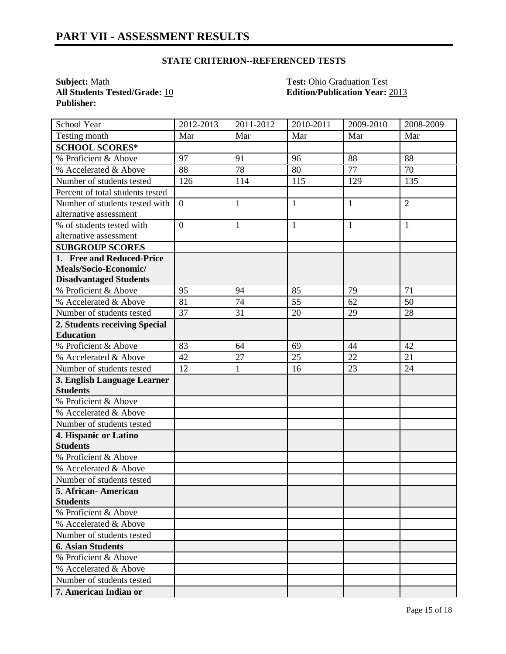# **STATE CRITERION--REFERENCED TESTS**

**All Students Tested/Grade: 10 Publisher:** 

**Subject:** <u>Math **Test:** Ohio Graduation Test</u><br> **All Students Tested/Grade:** 10 **Test: Edition/Publication Year:** 2013

| School Year                      | 2012-2013      | 2011-2012    | 2010-2011    | 2009-2010    | 2008-2009      |
|----------------------------------|----------------|--------------|--------------|--------------|----------------|
| Testing month                    | Mar            | Mar          | Mar          | Mar          | Mar            |
| <b>SCHOOL SCORES*</b>            |                |              |              |              |                |
| % Proficient & Above             | 97             | 91           | 96           | 88           | 88             |
| % Accelerated & Above            | 88             | 78           | 80           | 77           | 70             |
| Number of students tested        | 126            | 114          | 115          | 129          | 135            |
| Percent of total students tested |                |              |              |              |                |
| Number of students tested with   | $\overline{0}$ | $\mathbf{1}$ | $\mathbf{1}$ | $\mathbf{1}$ | $\overline{2}$ |
| alternative assessment           |                |              |              |              |                |
| % of students tested with        | $\overline{0}$ | $\mathbf{1}$ | $\mathbf{1}$ | $\mathbf{1}$ | $\mathbf{1}$   |
| alternative assessment           |                |              |              |              |                |
| <b>SUBGROUP SCORES</b>           |                |              |              |              |                |
| 1. Free and Reduced-Price        |                |              |              |              |                |
| Meals/Socio-Economic/            |                |              |              |              |                |
| <b>Disadvantaged Students</b>    |                |              |              |              |                |
| % Proficient & Above             | 95             | 94           | 85           | 79           | 71             |
| % Accelerated & Above            | 81             | 74           | 55           | 62           | 50             |
| Number of students tested        | 37             | 31           | 20           | 29           | 28             |
| 2. Students receiving Special    |                |              |              |              |                |
| <b>Education</b>                 |                |              |              |              |                |
| % Proficient & Above             | 83             | 64           | 69           | 44           | 42             |
| % Accelerated & Above            | 42             | 27           | 25           | 22           | 21             |
| Number of students tested        | 12             | $\mathbf{1}$ | 16           | 23           | 24             |
| 3. English Language Learner      |                |              |              |              |                |
| <b>Students</b>                  |                |              |              |              |                |
| % Proficient & Above             |                |              |              |              |                |
| % Accelerated & Above            |                |              |              |              |                |
| Number of students tested        |                |              |              |              |                |
| 4. Hispanic or Latino            |                |              |              |              |                |
| <b>Students</b>                  |                |              |              |              |                |
| % Proficient & Above             |                |              |              |              |                |
| % Accelerated & Above            |                |              |              |              |                |
| Number of students tested        |                |              |              |              |                |
| 5. African-American              |                |              |              |              |                |
| <b>Students</b>                  |                |              |              |              |                |
| % Proficient & Above             |                |              |              |              |                |
| % Accelerated & Above            |                |              |              |              |                |
| Number of students tested        |                |              |              |              |                |
| <b>6. Asian Students</b>         |                |              |              |              |                |
| % Proficient & Above             |                |              |              |              |                |
| % Accelerated & Above            |                |              |              |              |                |
| Number of students tested        |                |              |              |              |                |
| 7. American Indian or            |                |              |              |              |                |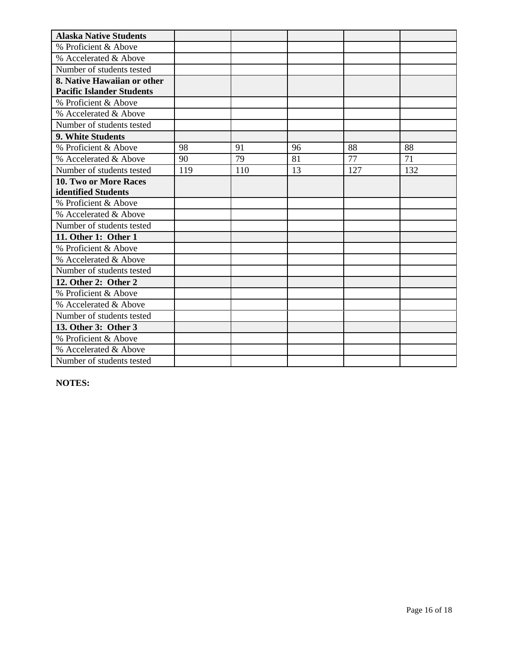| <b>Alaska Native Students</b>    |     |     |    |     |     |
|----------------------------------|-----|-----|----|-----|-----|
| % Proficient & Above             |     |     |    |     |     |
| % Accelerated & Above            |     |     |    |     |     |
| Number of students tested        |     |     |    |     |     |
| 8. Native Hawaiian or other      |     |     |    |     |     |
| <b>Pacific Islander Students</b> |     |     |    |     |     |
| % Proficient & Above             |     |     |    |     |     |
| % Accelerated & Above            |     |     |    |     |     |
| Number of students tested        |     |     |    |     |     |
| 9. White Students                |     |     |    |     |     |
| % Proficient & Above             | 98  | 91  | 96 | 88  | 88  |
| % Accelerated & Above            | 90  | 79  | 81 | 77  | 71  |
| Number of students tested        | 119 | 110 | 13 | 127 | 132 |
| 10. Two or More Races            |     |     |    |     |     |
| identified Students              |     |     |    |     |     |
| % Proficient & Above             |     |     |    |     |     |
| % Accelerated & Above            |     |     |    |     |     |
| Number of students tested        |     |     |    |     |     |
| 11. Other 1: Other 1             |     |     |    |     |     |
| % Proficient & Above             |     |     |    |     |     |
| % Accelerated & Above            |     |     |    |     |     |
| Number of students tested        |     |     |    |     |     |
| 12. Other 2: Other 2             |     |     |    |     |     |
| % Proficient & Above             |     |     |    |     |     |
| % Accelerated & Above            |     |     |    |     |     |
| Number of students tested        |     |     |    |     |     |
| 13. Other 3: Other 3             |     |     |    |     |     |
| % Proficient & Above             |     |     |    |     |     |
| % Accelerated & Above            |     |     |    |     |     |
| Number of students tested        |     |     |    |     |     |

**NOTES:**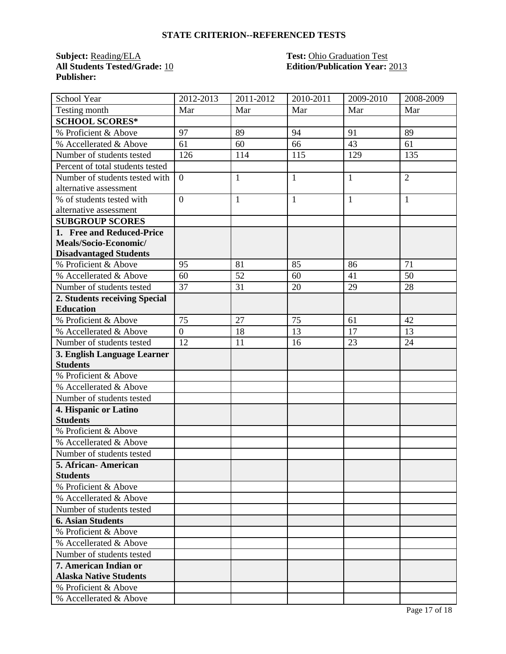# **STATE CRITERION--REFERENCED TESTS**

**Subject:** <u>Reading/ELA</u><br>**All Students Tested/Grade:** 10 **Publisher:** 

# **Test: Ohio Graduation Test<br>Edition/Publication Year: 2013**

| School Year                      | 2012-2013      | 2011-2012    | 2010-2011    | 2009-2010    | 2008-2009      |
|----------------------------------|----------------|--------------|--------------|--------------|----------------|
| Testing month                    | Mar            | Mar          | Mar          | Mar          | Mar            |
| <b>SCHOOL SCORES*</b>            |                |              |              |              |                |
| % Proficient & Above             | 97             | 89           | 94           | 91           | 89             |
| % Accellerated & Above           | 61             | 60           | 66           | 43           | 61             |
| Number of students tested        | 126            | 114          | 115          | 129          | 135            |
| Percent of total students tested |                |              |              |              |                |
| Number of students tested with   | $\overline{0}$ | $\mathbf{1}$ | $\mathbf{1}$ | $\mathbf{1}$ | $\overline{2}$ |
| alternative assessment           |                |              |              |              |                |
| % of students tested with        | $\overline{0}$ | $\mathbf{1}$ | $\mathbf{1}$ | $\mathbf{1}$ | $\mathbf{1}$   |
| alternative assessment           |                |              |              |              |                |
| <b>SUBGROUP SCORES</b>           |                |              |              |              |                |
| 1. Free and Reduced-Price        |                |              |              |              |                |
| Meals/Socio-Economic/            |                |              |              |              |                |
| <b>Disadvantaged Students</b>    |                |              |              |              |                |
| % Proficient & Above             | 95             | 81           | 85           | 86           | 71             |
| % Accellerated & Above           | 60             | 52           | 60           | 41           | 50             |
| Number of students tested        | 37             | 31           | 20           | 29           | 28             |
| 2. Students receiving Special    |                |              |              |              |                |
| <b>Education</b>                 |                |              |              |              |                |
| % Proficient & Above             | 75             | 27           | 75           | 61           | 42             |
| % Accellerated & Above           | $\overline{0}$ | 18           | 13           | 17           | 13             |
| Number of students tested        | 12             | 11           | 16           | 23           | 24             |
| 3. English Language Learner      |                |              |              |              |                |
| <b>Students</b>                  |                |              |              |              |                |
| % Proficient & Above             |                |              |              |              |                |
| % Accellerated & Above           |                |              |              |              |                |
| Number of students tested        |                |              |              |              |                |
| 4. Hispanic or Latino            |                |              |              |              |                |
| <b>Students</b>                  |                |              |              |              |                |
| % Proficient & Above             |                |              |              |              |                |
| % Accellerated & Above           |                |              |              |              |                |
| Number of students tested        |                |              |              |              |                |
| 5. African- American             |                |              |              |              |                |
| <b>Students</b>                  |                |              |              |              |                |
| % Proficient & Above             |                |              |              |              |                |
| % Accellerated & Above           |                |              |              |              |                |
| Number of students tested        |                |              |              |              |                |
| <b>6. Asian Students</b>         |                |              |              |              |                |
| % Proficient & Above             |                |              |              |              |                |
| % Accellerated & Above           |                |              |              |              |                |
| Number of students tested        |                |              |              |              |                |
| 7. American Indian or            |                |              |              |              |                |
| <b>Alaska Native Students</b>    |                |              |              |              |                |
| % Proficient & Above             |                |              |              |              |                |
| % Accellerated & Above           |                |              |              |              |                |